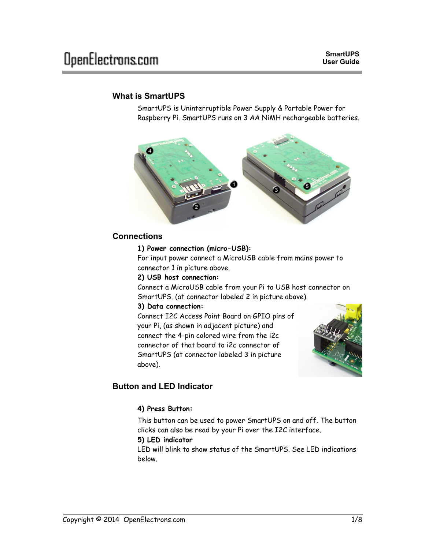# **What is SmartUPS**

SmartUPS is Uninterruptible Power Supply & Portable Power for Raspberry Pi. SmartUPS runs on 3 AA NiMH rechargeable batteries.



## **Connections**

#### **1) Power connection (micro-USB):**

For input power connect a MicroUSB cable from mains power to connector 1 in picture above.

#### **2) USB host connection:**

Connect a MicroUSB cable from your Pi to USB host connector on SmartUPS. (at connector labeled 2 in picture above).

### **3) Data connection:**

Connect I2C Access Point Board on GPIO pins of your Pi, (as shown in adjacent picture) and connect the 4-pin colored wire from the i2c connector of that board to i2c connector of SmartUPS (at connector labeled 3 in picture above).



# **Button and LED Indicator**

### **4) Press Button:**

This button can be used to power SmartUPS on and off. The button clicks can also be read by your Pi over the I2C interface.

### **5) LED indicator**

LED will blink to show status of the SmartUPS. See LED indications below.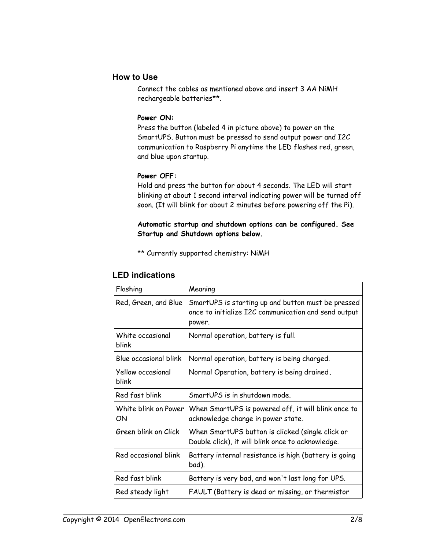## **How to Use**

Connect the cables as mentioned above and insert 3 AA NiMH rechargeable batteries\*\*.

### **Power ON:**

Press the button (labeled 4 in picture above) to power on the SmartUPS. Button must be pressed to send output power and I2C communication to Raspberry Pi anytime the LED flashes red, green, and blue upon startup.

### **Power OFF:**

Hold and press the button for about 4 seconds. The LED will start blinking at about 1 second interval indicating power will be turned off soon. (It will blink for about 2 minutes before powering off the Pi).

### **Automatic startup and shutdown options can be configured. See Startup and Shutdown options below.**

\*\* Currently supported chemistry: NiMH

| Flashing                   | Meaning                                                                                                              |
|----------------------------|----------------------------------------------------------------------------------------------------------------------|
| Red, Green, and Blue       | SmartUPS is starting up and button must be pressed<br>once to initialize I2C communication and send output<br>power. |
| White occasional<br>blink  | Normal operation, battery is full.                                                                                   |
| Blue occasional blink      | Normal operation, battery is being charged.                                                                          |
| Yellow occasional<br>blink | Normal Operation, battery is being drained.                                                                          |
| Red fast blink             | SmartUPS is in shutdown mode.                                                                                        |
| White blink on Power<br>ON | When SmartUPS is powered off, it will blink once to<br>acknowledge change in power state.                            |
| Green blink on Click       | When SmartUPS button is clicked (single click or<br>Double click), it will blink once to acknowledge.                |
| Red occasional blink       | Battery internal resistance is high (battery is going<br>bad).                                                       |
| Red fast blink             | Battery is very bad, and won't last long for UPS.                                                                    |
| Red steady light           | FAULT (Battery is dead or missing, or thermistor                                                                     |

### **LED indications**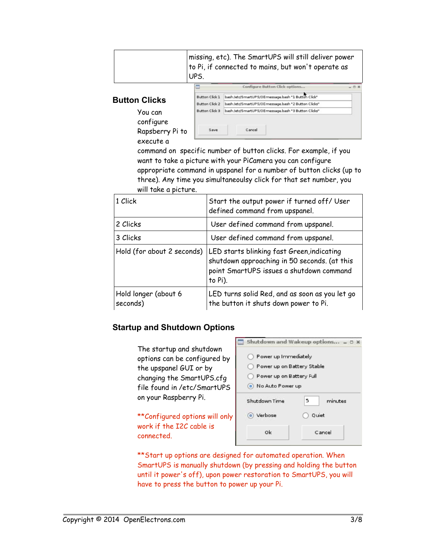|  | missing, etc). The SmartUPS will still deliver power<br>to Pi, if connected to mains, but won't operate as<br>UPS. |
|--|--------------------------------------------------------------------------------------------------------------------|
|--|--------------------------------------------------------------------------------------------------------------------|

## **Button Clicks**

You can configure Rapsberry Pi to execute a

|                       | Configure Button Click options                      | $-30$ |
|-----------------------|-----------------------------------------------------|-------|
| <b>Button Click 1</b> | bash /etc/SmartUPS/0Emessage.bash "1 Button Click"  |       |
| <b>Button Click 2</b> | bash /etc/SmartUPS/0Emessage.bash "2 Button Clicks" |       |
| <b>Button Click 3</b> | bash /etc/SmartUPS/0Emessage.bash "3 Button Clicks" |       |
|                       |                                                     |       |
| Save                  | Cancel                                              |       |

command on specific number of button clicks. For example, if you want to take a picture with your PiCamera you can configure appropriate command in upspanel for a number of button clicks (up to three). Any time you simultaneoulsy click for that set number, you will take a picture.

| 1 Click                          | Start the output power if turned off/ User<br>defined command from upspanel.                                                                      |
|----------------------------------|---------------------------------------------------------------------------------------------------------------------------------------------------|
| 2 Clicks                         | User defined command from upspanel.                                                                                                               |
| 3 Clicks                         | User defined command from upspanel.                                                                                                               |
| Hold (for about 2 seconds)       | LED starts blinking fast Green, indicating<br>shutdown approaching in 50 seconds. (at this<br>point SmartUPS issues a shutdown command<br>to Pi). |
| Hold longer (about 6<br>seconds) | LED turns solid Red, and as soon as you let go<br>the button it shuts down power to Pi.                                                           |

# **Startup and Shutdown Options**

The startup and shutdown options can be configured by the upspanel GUI or by changing the SmartUPS.cfg file found in /etc/SmartUPS on your Raspberry Pi.

\*\*Configured options will only work if the I2C cable is connected.

|                            | Shutdown and Wakeup options = D |
|----------------------------|---------------------------------|
| Power up Immediately       |                                 |
| Power up on Battery Stable |                                 |
| Power up on Battery Full   |                                 |
| No Auto Power up           |                                 |
| Shutdown Time              | 5<br>minutes                    |
| (e) Verbose                | Quiet                           |
| Ok                         | Cancel                          |
|                            |                                 |

\*\* Start up options are designed for automated operation. When SmartUPS is manually shutdown (by pressing and holding the button until it power's off), upon power restoration to SmartUPS, you will have to press the button to power up your Pi.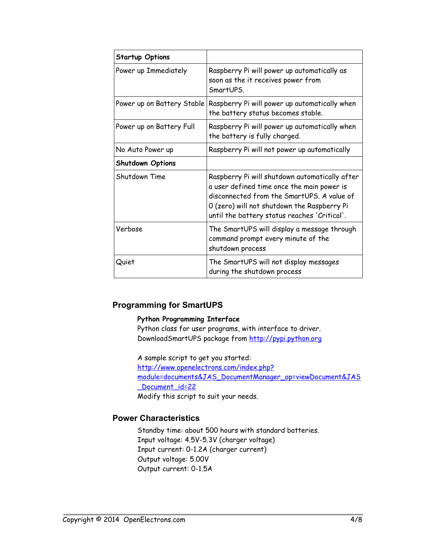| <b>Startup Options</b>     |                                                                                                                                                                                                                                           |
|----------------------------|-------------------------------------------------------------------------------------------------------------------------------------------------------------------------------------------------------------------------------------------|
| Power up Immediately       | Raspberry Pi will power up automatically as<br>soon as the it receives power from<br>SmartUPS.                                                                                                                                            |
| Power up on Battery Stable | Raspberry Pi will power up automatically when<br>the battery status becomes stable.                                                                                                                                                       |
| Power up on Battery Full   | Raspberry Pi will power up automatically when<br>the battery is fully charged.                                                                                                                                                            |
| No Auto Power up           | Raspberry Pi will not power up automatically                                                                                                                                                                                              |
| <b>Shutdown Options</b>    |                                                                                                                                                                                                                                           |
| Shutdown Time              | Raspberry Pi will shutdown automatically after<br>a user defined time once the main power is<br>disconnected from the SmartUPS. A value of<br>O (zero) will not shutdown the Raspberry Pi<br>until the battery status reaches 'Critical'. |
| Verbose                    | The SmartUPS will display a message through<br>command prompt every minute of the<br>shutdown process                                                                                                                                     |
| Quiet                      | The SmartUPS will not display messages<br>during the shutdown process                                                                                                                                                                     |

# **Programming for SmartUPS**

### **Python Programming Interface**

Python class for user programs, with interface to driver. DownloadSmartUPS package from [http://pypi.python.org](http://pypi.python.org/)

A sample script to get you started: [http://www.openelectrons.com/index.php?](http://www.openelectrons.com/index.php?module=documents&JAS_DocumentManager_op=viewDocument&JAS_Document_id=22) [module=documents&JAS\\_DocumentManager\\_op=viewDocument&JAS](http://www.openelectrons.com/index.php?module=documents&JAS_DocumentManager_op=viewDocument&JAS_Document_id=22) Document\_id=22 Modify this script to suit your needs.

# **Power Characteristics**

Standby time: about 500 hours with standard batteries. Input voltage: 4.5V-5.3V (charger voltage) Input current: 0-1.2A (charger current) Output voltage: 5.00V Output current: 0-1.5A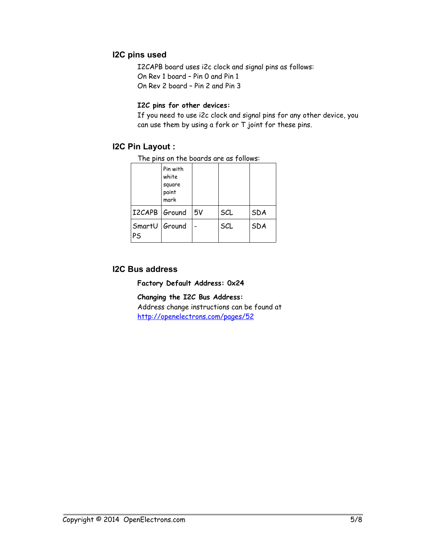# **I2C pins used**

I2CAPB board uses i2c clock and signal pins as follows: On Rev 1 board – Pin 0 and Pin 1 On Rev 2 board – Pin 2 and Pin 3

### **I2C pins for other devices:**

If you need to use i2c clock and signal pins for any other device, you can use them by using a fork or T joint for these pins.

## **I2C Pin Layout :**

The pins on the boards are as follows:

|                            | Pin with<br>white<br>square<br>paint<br>mark |    |     |            |
|----------------------------|----------------------------------------------|----|-----|------------|
| I2CAPB   Ground            |                                              | 5V | SCL | <b>SDA</b> |
| SmartU Ground<br><b>PS</b> |                                              |    | SCL | <b>SDA</b> |

### **I2C Bus address**

**Factory Default Address: 0x24**

**Changing the I2C Bus Address:** 

Address change instructions can be found at <http://openelectrons.com/pages/52>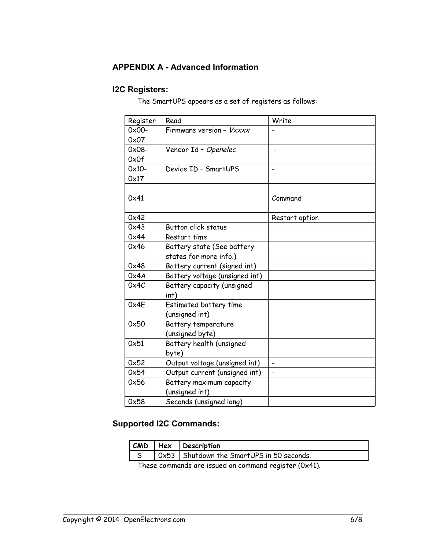# **APPENDIX A - Advanced Information**

# **I2C Registers:**

The SmartUPS appears as a set of registers as follows:

| Register | Read                            | Write                        |
|----------|---------------------------------|------------------------------|
| $0x00-$  | Firmware version - <i>Vxxxx</i> |                              |
| 0x07     |                                 |                              |
| $0x08 -$ | Vendor Id - Openelec            |                              |
| 0x0f     |                                 |                              |
| $0x10-$  | Device ID - SmartUPS            |                              |
| 0x17     |                                 |                              |
|          |                                 |                              |
| 0x41     |                                 | Command                      |
| 0x42     |                                 | Restart option               |
| 0x43     | Button click status             |                              |
| 0x44     | Restart time                    |                              |
| 0x46     | Battery state (See battery      |                              |
|          | states for more info.)          |                              |
| 0x48     | Battery current (signed int)    |                              |
| 0x4A     | Battery voltage (unsigned int)  |                              |
| 0x4C     | Battery capacity (unsigned      |                              |
|          | int)                            |                              |
| 0x4E     | Estimated battery time          |                              |
|          | (unsigned int)                  |                              |
| 0x50     | Battery temperature             |                              |
|          | (unsigned byte)                 |                              |
| 0x51     | Battery health (unsigned        |                              |
|          | byte)                           |                              |
| 0x52     | Output voltage (unsigned int)   | $\overline{\phantom{0}}$     |
| 0x54     | Output current (unsigned int)   | $\qquad \qquad \blacksquare$ |
| 0x56     | Battery maximum capacity        |                              |
|          | (unsigned int)                  |                              |
| 0x58     | Seconds (unsigned long)         |                              |

# **Supported I2C Commands:**

|  | $ $ CMD $ $ Hex $ $ Description                     |
|--|-----------------------------------------------------|
|  | $\vert$ 0x53   Shutdown the SmartUPS in 50 seconds. |

These commands are issued on command register (0x41).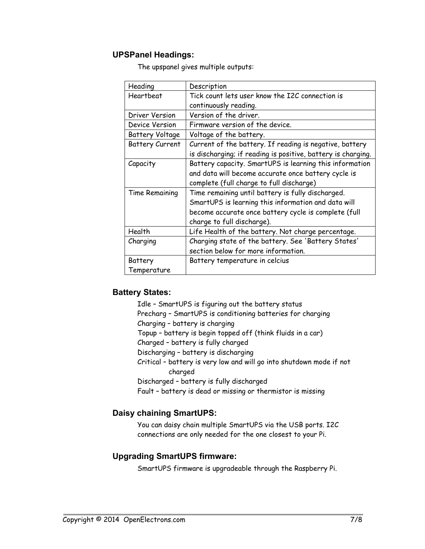## **UPSPanel Headings:**

The upspanel gives multiple outputs:

| Heading                | Description                                                  |
|------------------------|--------------------------------------------------------------|
| Heartbeat              | Tick count lets user know the I2C connection is              |
|                        | continuously reading.                                        |
| Driver Version         | Version of the driver.                                       |
| Device Version         | Firmware version of the device.                              |
| <b>Battery Voltage</b> | Voltage of the battery.                                      |
| <b>Battery Current</b> | Current of the battery. If reading is negative, battery      |
|                        | is discharging; if reading is positive, battery is charging. |
| Capacity               | Battery capacity. SmartUPS is learning this information      |
|                        | and data will become accurate once battery cycle is          |
|                        | complete (full charge to full discharge)                     |
| Time Remaining         | Time remaining until battery is fully discharged.            |
|                        | SmartUPS is learning this information and data will          |
|                        | become accurate once battery cycle is complete (full         |
|                        | charge to full discharge).                                   |
| Health                 | Life Health of the battery. Not charge percentage.           |
| Charging               | Charging state of the battery. See 'Battery States'          |
|                        | section below for more information.                          |
| Battery                | Battery temperature in celcius                               |
| Temperature            |                                                              |

### **Battery States:**

Idle – SmartUPS is figuring out the battery status Precharg – SmartUPS is conditioning batteries for charging Charging – battery is charging Topup – battery is begin topped off (think fluids in a car) Charged – battery is fully charged Discharging – battery is discharging Critical – battery is very low and will go into shutdown mode if not charged Discharged – battery is fully discharged Fault – battery is dead or missing or thermistor is missing

# **Daisy chaining SmartUPS:**

You can daisy chain multiple SmartUPS via the USB ports. I2C connections are only needed for the one closest to your Pi.

# **Upgrading SmartUPS firmware:**

SmartUPS firmware is upgradeable through the Raspberry Pi.